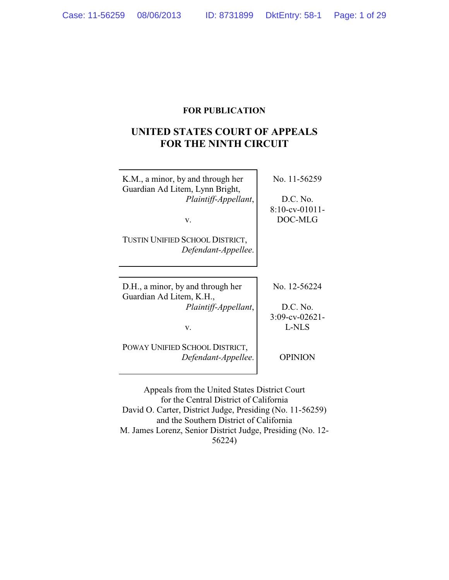## **FOR PUBLICATION**

# **UNITED STATES COURT OF APPEALS FOR THE NINTH CIRCUIT**

| K.M., a minor, by and through her<br>Guardian Ad Litem, Lynn Bright,<br>Plaintiff-Appellant,<br>V.<br>TUSTIN UNIFIED SCHOOL DISTRICT,<br>Defendant-Appellee. | No. 11-56259<br>D.C. No.<br>$8:10$ -cv-01011-<br>DOC-MLG |
|--------------------------------------------------------------------------------------------------------------------------------------------------------------|----------------------------------------------------------|
|                                                                                                                                                              |                                                          |
| D.H., a minor, by and through her<br>Guardian Ad Litem, K.H.,<br>Plaintiff-Appellant,                                                                        | No. 12-56224<br>D.C. No.<br>$3:09$ -cv-02621-            |
| v.                                                                                                                                                           | <b>L-NLS</b>                                             |
| POWAY UNIFIED SCHOOL DISTRICT,<br>Defendant-Appellee.                                                                                                        | <b>OPINION</b>                                           |
| Appeals from the United States District Court                                                                                                                |                                                          |

for the Central District of California David O. Carter, District Judge, Presiding (No. 11-56259) and the Southern District of California M. James Lorenz, Senior District Judge, Presiding (No. 12- 56224)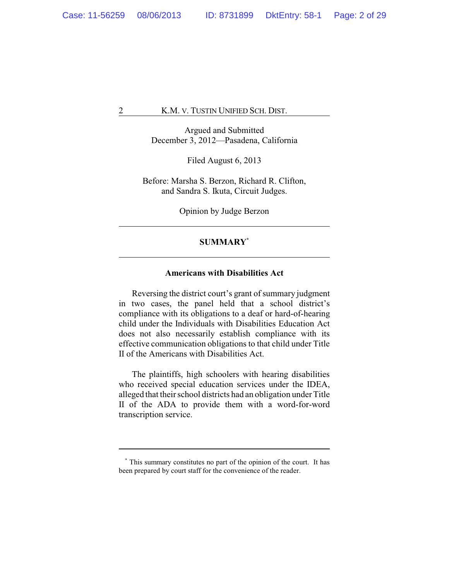Argued and Submitted December 3, 2012—Pasadena, California

Filed August 6, 2013

Before: Marsha S. Berzon, Richard R. Clifton, and Sandra S. Ikuta, Circuit Judges.

Opinion by Judge Berzon

## **SUMMARY\***

## **Americans with Disabilities Act**

Reversing the district court's grant of summary judgment in two cases, the panel held that a school district's compliance with its obligations to a deaf or hard-of-hearing child under the Individuals with Disabilities Education Act does not also necessarily establish compliance with its effective communication obligations to that child under Title II of the Americans with Disabilities Act.

The plaintiffs, high schoolers with hearing disabilities who received special education services under the IDEA, alleged that their school districts had an obligation under Title II of the ADA to provide them with a word-for-word transcription service.

**<sup>\*</sup>** This summary constitutes no part of the opinion of the court. It has been prepared by court staff for the convenience of the reader.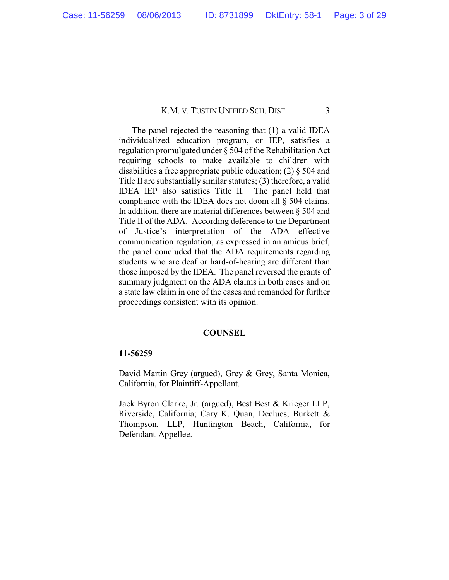The panel rejected the reasoning that (1) a valid IDEA individualized education program, or IEP, satisfies a regulation promulgated under § 504 of the Rehabilitation Act requiring schools to make available to children with disabilities a free appropriate public education; (2) § 504 and Title II are substantially similar statutes; (3) therefore, a valid IDEA IEP also satisfies Title II. The panel held that compliance with the IDEA does not doom all § 504 claims. In addition, there are material differences between § 504 and Title II of the ADA. According deference to the Department of Justice's interpretation of the ADA effective communication regulation, as expressed in an amicus brief, the panel concluded that the ADA requirements regarding students who are deaf or hard-of-hearing are different than those imposed by the IDEA. The panel reversed the grants of summary judgment on the ADA claims in both cases and on a state law claim in one of the cases and remanded for further proceedings consistent with its opinion.

#### **COUNSEL**

## **11-56259**

David Martin Grey (argued), Grey & Grey, Santa Monica, California, for Plaintiff-Appellant.

Jack Byron Clarke, Jr. (argued), Best Best & Krieger LLP, Riverside, California; Cary K. Quan, Declues, Burkett & Thompson, LLP, Huntington Beach, California, for Defendant-Appellee.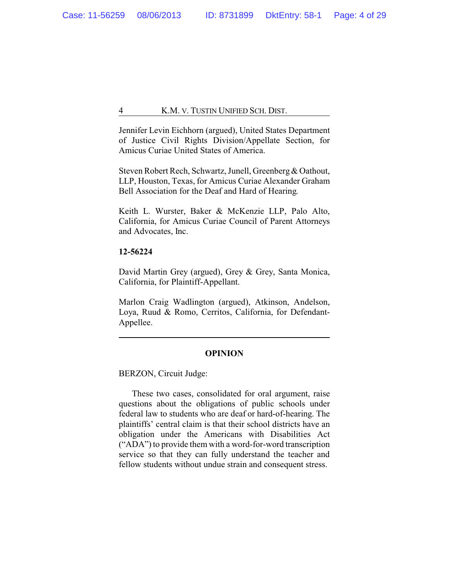Jennifer Levin Eichhorn (argued), United States Department of Justice Civil Rights Division/Appellate Section, for Amicus Curiae United States of America.

Steven Robert Rech, Schwartz, Junell, Greenberg& Oathout, LLP, Houston, Texas, for Amicus Curiae Alexander Graham Bell Association for the Deaf and Hard of Hearing.

Keith L. Wurster, Baker & McKenzie LLP, Palo Alto, California, for Amicus Curiae Council of Parent Attorneys and Advocates, Inc.

## **12-56224**

David Martin Grey (argued), Grey & Grey, Santa Monica, California, for Plaintiff-Appellant.

Marlon Craig Wadlington (argued), Atkinson, Andelson, Loya, Ruud & Romo, Cerritos, California, for Defendant-Appellee.

## **OPINION**

BERZON, Circuit Judge:

These two cases, consolidated for oral argument, raise questions about the obligations of public schools under federal law to students who are deaf or hard-of-hearing. The plaintiffs' central claim is that their school districts have an obligation under the Americans with Disabilities Act ("ADA") to provide them with a word-for-word transcription service so that they can fully understand the teacher and fellow students without undue strain and consequent stress.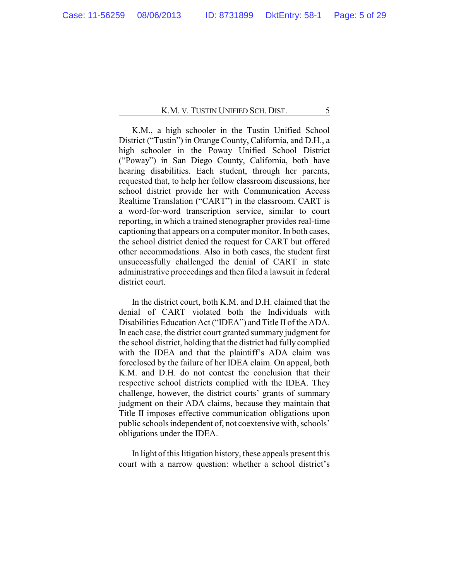K.M., a high schooler in the Tustin Unified School District ("Tustin") in Orange County, California, and D.H., a high schooler in the Poway Unified School District ("Poway") in San Diego County, California, both have hearing disabilities. Each student, through her parents, requested that, to help her follow classroom discussions, her school district provide her with Communication Access Realtime Translation ("CART") in the classroom. CART is a word-for-word transcription service, similar to court reporting, in which a trained stenographer provides real-time captioning that appears on a computer monitor. In both cases, the school district denied the request for CART but offered other accommodations. Also in both cases, the student first unsuccessfully challenged the denial of CART in state administrative proceedings and then filed a lawsuit in federal district court.

In the district court, both K.M. and D.H. claimed that the denial of CART violated both the Individuals with Disabilities Education Act ("IDEA") and Title II of the ADA. In each case, the district court granted summary judgment for the school district, holding that the district had fully complied with the IDEA and that the plaintiff's ADA claim was foreclosed by the failure of her IDEA claim. On appeal, both K.M. and D.H. do not contest the conclusion that their respective school districts complied with the IDEA. They challenge, however, the district courts' grants of summary judgment on their ADA claims, because they maintain that Title II imposes effective communication obligations upon public schools independent of, not coextensive with, schools' obligations under the IDEA.

In light of this litigation history, these appeals present this court with a narrow question: whether a school district's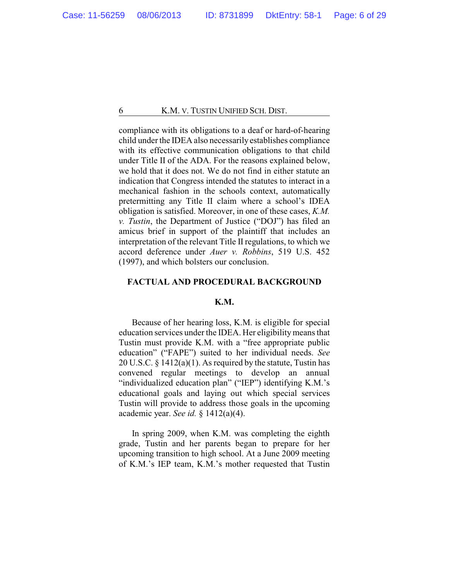compliance with its obligations to a deaf or hard-of-hearing child under the IDEA also necessarily establishes compliance with its effective communication obligations to that child under Title II of the ADA. For the reasons explained below, we hold that it does not. We do not find in either statute an indication that Congress intended the statutes to interact in a mechanical fashion in the schools context, automatically pretermitting any Title II claim where a school's IDEA obligation is satisfied. Moreover, in one of these cases, *K.M. v. Tustin*, the Department of Justice ("DOJ") has filed an amicus brief in support of the plaintiff that includes an interpretation of the relevant Title II regulations, to which we accord deference under *Auer v. Robbins*, 519 U.S. 452 (1997), and which bolsters our conclusion.

## **FACTUAL AND PROCEDURAL BACKGROUND**

## **K.M.**

Because of her hearing loss, K.M. is eligible for special education services under the IDEA. Her eligibilitymeans that Tustin must provide K.M. with a "free appropriate public education" ("FAPE") suited to her individual needs. *See* 20 U.S.C. § 1412(a)(1). As required by the statute, Tustin has convened regular meetings to develop an annual "individualized education plan" ("IEP") identifying K.M.'s educational goals and laying out which special services Tustin will provide to address those goals in the upcoming academic year. *See id.* § 1412(a)(4).

In spring 2009, when K.M. was completing the eighth grade, Tustin and her parents began to prepare for her upcoming transition to high school. At a June 2009 meeting of K.M.'s IEP team, K.M.'s mother requested that Tustin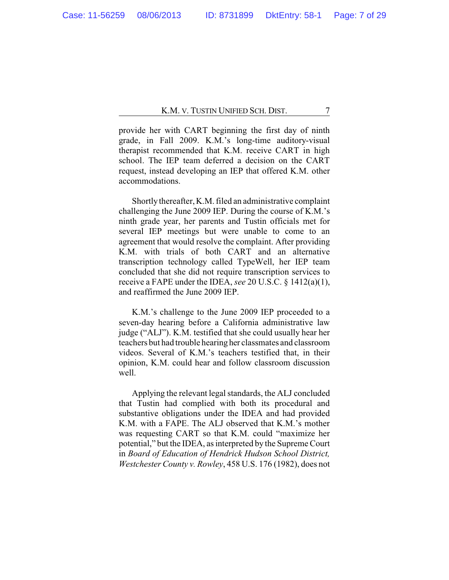provide her with CART beginning the first day of ninth grade, in Fall 2009. K.M.'s long-time auditory-visual therapist recommended that K.M. receive CART in high school. The IEP team deferred a decision on the CART request, instead developing an IEP that offered K.M. other accommodations.

Shortly thereafter, K.M. filed an administrative complaint challenging the June 2009 IEP. During the course of K.M.'s ninth grade year, her parents and Tustin officials met for several IEP meetings but were unable to come to an agreement that would resolve the complaint. After providing K.M. with trials of both CART and an alternative transcription technology called TypeWell, her IEP team concluded that she did not require transcription services to receive a FAPE under the IDEA, *see* 20 U.S.C. § 1412(a)(1), and reaffirmed the June 2009 IEP.

K.M.'s challenge to the June 2009 IEP proceeded to a seven-day hearing before a California administrative law judge ("ALJ"). K.M. testified that she could usually hear her teachers but had trouble hearing her classmates and classroom videos. Several of K.M.'s teachers testified that, in their opinion, K.M. could hear and follow classroom discussion well.

Applying the relevant legal standards, the ALJ concluded that Tustin had complied with both its procedural and substantive obligations under the IDEA and had provided K.M. with a FAPE. The ALJ observed that K.M.'s mother was requesting CART so that K.M. could "maximize her potential," but the IDEA, as interpreted by the Supreme Court in *Board of Education of Hendrick Hudson School District, Westchester County v. Rowley*, 458 U.S. 176 (1982), does not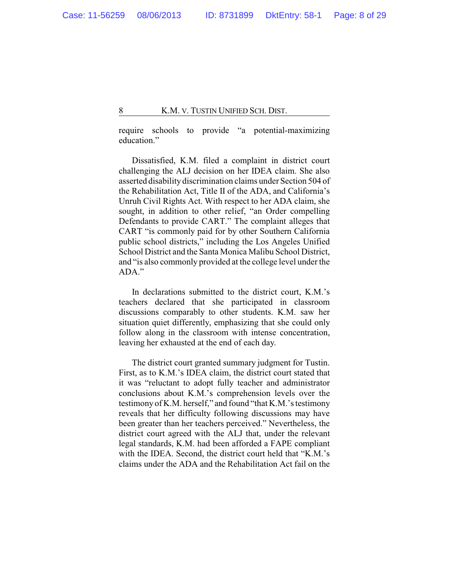require schools to provide "a potential-maximizing education."

Dissatisfied, K.M. filed a complaint in district court challenging the ALJ decision on her IDEA claim. She also asserted disability discrimination claims under Section 504 of the Rehabilitation Act, Title II of the ADA, and California's Unruh Civil Rights Act. With respect to her ADA claim, she sought, in addition to other relief, "an Order compelling Defendants to provide CART." The complaint alleges that CART "is commonly paid for by other Southern California public school districts," including the Los Angeles Unified School District and the Santa Monica Malibu School District, and "is also commonly provided at the college level under the ADA."

In declarations submitted to the district court, K.M.'s teachers declared that she participated in classroom discussions comparably to other students. K.M. saw her situation quiet differently, emphasizing that she could only follow along in the classroom with intense concentration, leaving her exhausted at the end of each day.

The district court granted summary judgment for Tustin. First, as to K.M.'s IDEA claim, the district court stated that it was "reluctant to adopt fully teacher and administrator conclusions about K.M.'s comprehension levels over the testimony of K.M. herself," and found "that K.M.'s testimony reveals that her difficulty following discussions may have been greater than her teachers perceived." Nevertheless, the district court agreed with the ALJ that, under the relevant legal standards, K.M. had been afforded a FAPE compliant with the IDEA. Second, the district court held that "K.M.'s claims under the ADA and the Rehabilitation Act fail on the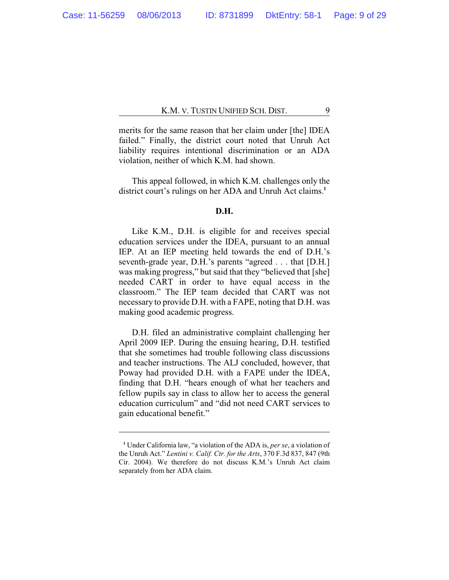merits for the same reason that her claim under [the] IDEA failed." Finally, the district court noted that Unruh Act liability requires intentional discrimination or an ADA violation, neither of which K.M. had shown.

This appeal followed, in which K.M. challenges only the district court's rulings on her ADA and Unruh Act claims.<sup>1</sup>

### **D.H.**

Like K.M., D.H. is eligible for and receives special education services under the IDEA, pursuant to an annual IEP. At an IEP meeting held towards the end of D.H.'s seventh-grade year, D.H.'s parents "agreed . . . that [D.H.] was making progress," but said that they "believed that [she] needed CART in order to have equal access in the classroom." The IEP team decided that CART was not necessary to provide D.H. with a FAPE, noting that D.H. was making good academic progress.

D.H. filed an administrative complaint challenging her April 2009 IEP. During the ensuing hearing, D.H. testified that she sometimes had trouble following class discussions and teacher instructions. The ALJ concluded, however, that Poway had provided D.H. with a FAPE under the IDEA, finding that D.H. "hears enough of what her teachers and fellow pupils say in class to allow her to access the general education curriculum" and "did not need CART services to gain educational benefit."

**<sup>1</sup>** Under California law, "a violation of the ADA is, *per se*, a violation of the Unruh Act." *Lentini v. Calif. Ctr. for the Arts*, 370 F.3d 837, 847 (9th Cir. 2004). We therefore do not discuss K.M.'s Unruh Act claim separately from her ADA claim.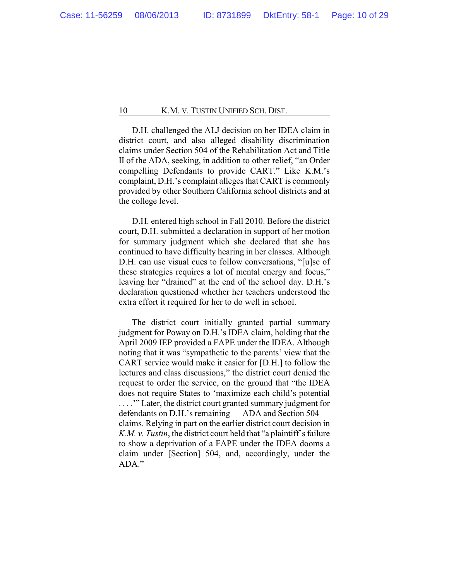D.H. challenged the ALJ decision on her IDEA claim in district court, and also alleged disability discrimination claims under Section 504 of the Rehabilitation Act and Title II of the ADA, seeking, in addition to other relief, "an Order compelling Defendants to provide CART." Like K.M.'s complaint, D.H.'s complaint alleges that CART is commonly provided by other Southern California school districts and at the college level.

D.H. entered high school in Fall 2010. Before the district court, D.H. submitted a declaration in support of her motion for summary judgment which she declared that she has continued to have difficulty hearing in her classes. Although D.H. can use visual cues to follow conversations, "[u]se of these strategies requires a lot of mental energy and focus," leaving her "drained" at the end of the school day. D.H.'s declaration questioned whether her teachers understood the extra effort it required for her to do well in school.

The district court initially granted partial summary judgment for Poway on D.H.'s IDEA claim, holding that the April 2009 IEP provided a FAPE under the IDEA. Although noting that it was "sympathetic to the parents' view that the CART service would make it easier for [D.H.] to follow the lectures and class discussions," the district court denied the request to order the service, on the ground that "the IDEA does not require States to 'maximize each child's potential . . . .'" Later, the district court granted summary judgment for defendants on D.H.'s remaining — ADA and Section 504 claims. Relying in part on the earlier district court decision in *K.M. v. Tustin*, the district court held that "a plaintiff's failure to show a deprivation of a FAPE under the IDEA dooms a claim under [Section] 504, and, accordingly, under the ADA."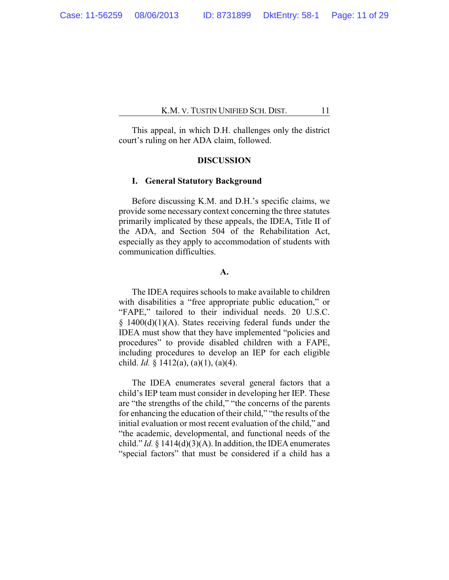This appeal, in which D.H. challenges only the district court's ruling on her ADA claim, followed.

## **DISCUSSION**

## **I. General Statutory Background**

Before discussing K.M. and D.H.'s specific claims, we provide some necessary context concerning the three statutes primarily implicated by these appeals, the IDEA, Title II of the ADA, and Section 504 of the Rehabilitation Act, especially as they apply to accommodation of students with communication difficulties.

## **A.**

The IDEA requires schools to make available to children with disabilities a "free appropriate public education," or "FAPE," tailored to their individual needs. 20 U.S.C.  $§$  1400(d)(1)(A). States receiving federal funds under the IDEA must show that they have implemented "policies and procedures" to provide disabled children with a FAPE, including procedures to develop an IEP for each eligible child. *Id.* § 1412(a), (a)(1), (a)(4).

The IDEA enumerates several general factors that a child's IEP team must consider in developing her IEP. These are "the strengths of the child," "the concerns of the parents for enhancing the education of their child," "the results of the initial evaluation or most recent evaluation of the child," and "the academic, developmental, and functional needs of the child." *Id.* § 1414(d)(3)(A). In addition, the IDEA enumerates "special factors" that must be considered if a child has a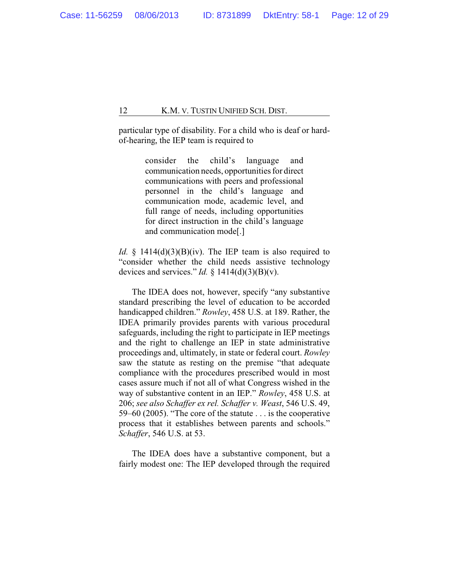particular type of disability. For a child who is deaf or hardof-hearing, the IEP team is required to

> consider the child's language and communication needs, opportunities for direct communications with peers and professional personnel in the child's language and communication mode, academic level, and full range of needs, including opportunities for direct instruction in the child's language and communication mode[.]

*Id.* § 1414 $(d)(3)(B)(iv)$ . The IEP team is also required to "consider whether the child needs assistive technology devices and services." *Id.* § 1414(d)(3)(B)(v).

The IDEA does not, however, specify "any substantive standard prescribing the level of education to be accorded handicapped children." *Rowley*, 458 U.S. at 189. Rather, the IDEA primarily provides parents with various procedural safeguards, including the right to participate in IEP meetings and the right to challenge an IEP in state administrative proceedings and, ultimately, in state or federal court. *Rowley* saw the statute as resting on the premise "that adequate compliance with the procedures prescribed would in most cases assure much if not all of what Congress wished in the way of substantive content in an IEP." *Rowley*, 458 U.S. at 206; *see also Schaffer ex rel. Schaffer v. Weast*, 546 U.S. 49, 59–60 (2005). "The core of the statute . . . is the cooperative process that it establishes between parents and schools." *Schaffer*, 546 U.S. at 53.

The IDEA does have a substantive component, but a fairly modest one: The IEP developed through the required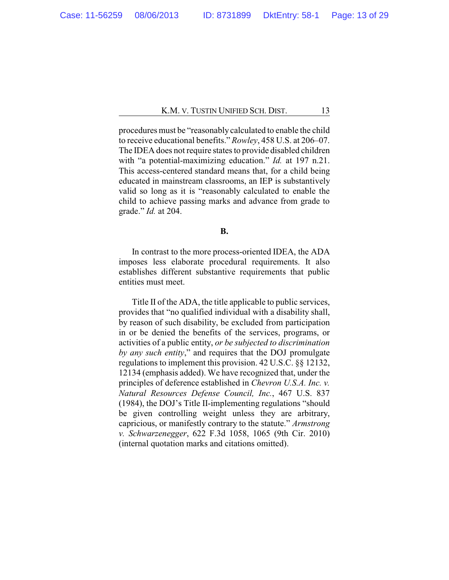procedures must be "reasonablycalculated to enable the child to receive educational benefits." *Rowley*, 458 U.S. at 206–07. The IDEA does not require states to provide disabled children with "a potential-maximizing education." *Id.* at 197 n.21. This access-centered standard means that, for a child being educated in mainstream classrooms, an IEP is substantively valid so long as it is "reasonably calculated to enable the child to achieve passing marks and advance from grade to grade." *Id.* at 204.

#### **B.**

In contrast to the more process-oriented IDEA, the ADA imposes less elaborate procedural requirements. It also establishes different substantive requirements that public entities must meet.

Title II of the ADA, the title applicable to public services, provides that "no qualified individual with a disability shall, by reason of such disability, be excluded from participation in or be denied the benefits of the services, programs, or activities of a public entity, *or be subjected to discrimination by any such entity*," and requires that the DOJ promulgate regulations to implement this provision. 42 U.S.C. §§ 12132, 12134 (emphasis added). We have recognized that, under the principles of deference established in *Chevron U.S.A. Inc. v. Natural Resources Defense Council, Inc.*, 467 U.S. 837 (1984), the DOJ's Title II-implementing regulations "should be given controlling weight unless they are arbitrary, capricious, or manifestly contrary to the statute." *Armstrong v. Schwarzenegger*, 622 F.3d 1058, 1065 (9th Cir. 2010) (internal quotation marks and citations omitted).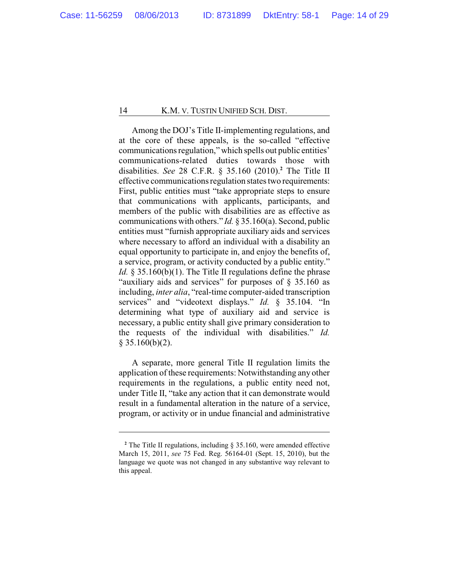Among the DOJ's Title II-implementing regulations, and at the core of these appeals, is the so-called "effective communications regulation," which spells out public entities' communications-related duties towards those with disabilities. *See* 28 C.F.R. § 35.160 (2010).**<sup>2</sup>** The Title II effective communications regulation states two requirements: First, public entities must "take appropriate steps to ensure that communications with applicants, participants, and members of the public with disabilities are as effective as communications with others." *Id.* § 35.160(a). Second, public entities must "furnish appropriate auxiliary aids and services where necessary to afford an individual with a disability an equal opportunity to participate in, and enjoy the benefits of, a service, program, or activity conducted by a public entity." *Id.* § 35.160(b)(1). The Title II regulations define the phrase "auxiliary aids and services" for purposes of § 35.160 as including, *inter alia*, "real-time computer-aided transcription services" and "videotext displays." *Id.* § 35.104. "In determining what type of auxiliary aid and service is necessary, a public entity shall give primary consideration to the requests of the individual with disabilities." *Id.*  $§$  35.160(b)(2).

A separate, more general Title II regulation limits the application of these requirements: Notwithstanding any other requirements in the regulations, a public entity need not, under Title II, "take any action that it can demonstrate would result in a fundamental alteration in the nature of a service, program, or activity or in undue financial and administrative

**<sup>2</sup>** The Title II regulations, including § 35.160, were amended effective March 15, 2011, *see* 75 Fed. Reg. 56164-01 (Sept. 15, 2010), but the language we quote was not changed in any substantive way relevant to this appeal.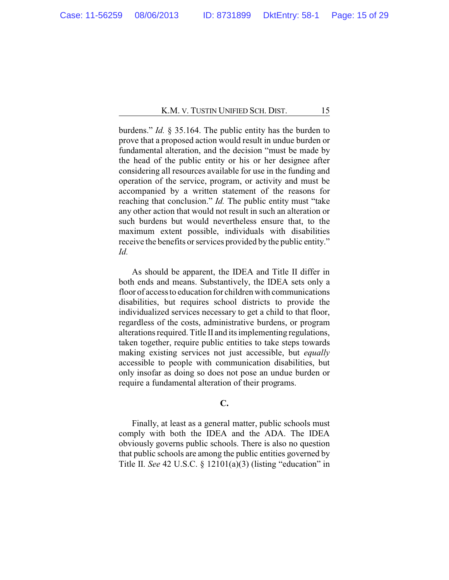burdens." *Id.* § 35.164. The public entity has the burden to prove that a proposed action would result in undue burden or fundamental alteration, and the decision "must be made by the head of the public entity or his or her designee after considering all resources available for use in the funding and operation of the service, program, or activity and must be accompanied by a written statement of the reasons for reaching that conclusion." *Id*. The public entity must "take any other action that would not result in such an alteration or such burdens but would nevertheless ensure that, to the maximum extent possible, individuals with disabilities receive the benefits or services provided by the public entity." *Id.*

As should be apparent, the IDEA and Title II differ in both ends and means. Substantively, the IDEA sets only a floor of access to education for children with communications disabilities, but requires school districts to provide the individualized services necessary to get a child to that floor, regardless of the costs, administrative burdens, or program alterations required. Title II and its implementing regulations, taken together, require public entities to take steps towards making existing services not just accessible, but *equally* accessible to people with communication disabilities, but only insofar as doing so does not pose an undue burden or require a fundamental alteration of their programs.

## **C.**

Finally, at least as a general matter, public schools must comply with both the IDEA and the ADA. The IDEA obviously governs public schools. There is also no question that public schools are among the public entities governed by Title II. *See* 42 U.S.C. § 12101(a)(3) (listing "education" in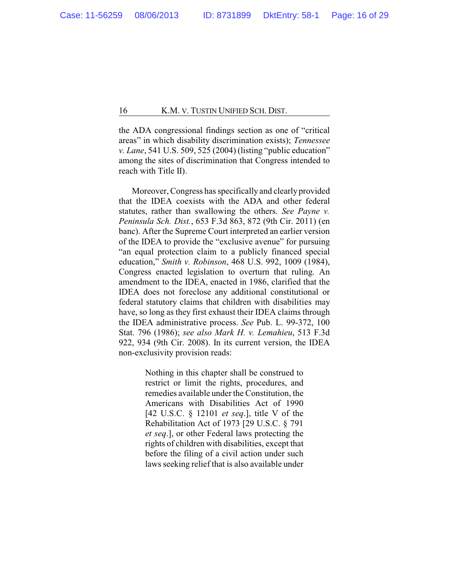the ADA congressional findings section as one of "critical areas" in which disability discrimination exists); *Tennessee v. Lane*, 541 U.S. 509, 525 (2004) (listing "public education" among the sites of discrimination that Congress intended to reach with Title II).

Moreover, Congress has specifically and clearly provided that the IDEA coexists with the ADA and other federal statutes, rather than swallowing the others. *See Payne v. Peninsula Sch. Dist.*, 653 F.3d 863, 872 (9th Cir. 2011) (en banc). After the Supreme Court interpreted an earlier version of the IDEA to provide the "exclusive avenue" for pursuing "an equal protection claim to a publicly financed special education," *Smith v. Robinson*, 468 U.S. 992, 1009 (1984), Congress enacted legislation to overturn that ruling. An amendment to the IDEA, enacted in 1986, clarified that the IDEA does not foreclose any additional constitutional or federal statutory claims that children with disabilities may have, so long as they first exhaust their IDEA claims through the IDEA administrative process. *See* Pub. L. 99-372, 100 Stat. 796 (1986); *see also Mark H. v. Lemahieu*, 513 F.3d 922, 934 (9th Cir. 2008). In its current version, the IDEA non-exclusivity provision reads:

> Nothing in this chapter shall be construed to restrict or limit the rights, procedures, and remedies available under the Constitution, the Americans with Disabilities Act of 1990 [42 U.S.C. § 12101 *et seq*.], title V of the Rehabilitation Act of 1973 [29 U.S.C. § 791 *et seq*.], or other Federal laws protecting the rights of children with disabilities, except that before the filing of a civil action under such laws seeking relief that is also available under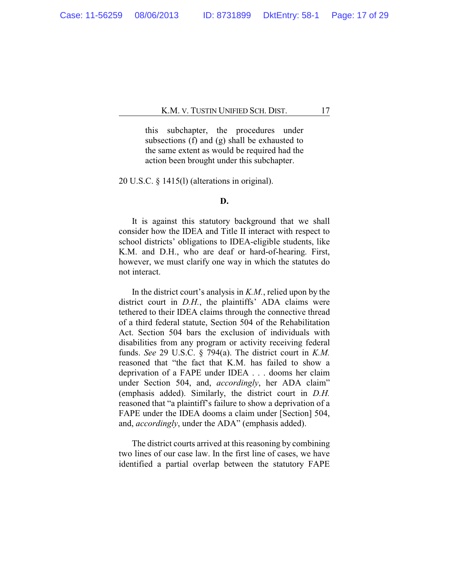this subchapter, the procedures under subsections (f) and (g) shall be exhausted to the same extent as would be required had the action been brought under this subchapter.

20 U.S.C. § 1415(l) (alterations in original).

## **D.**

It is against this statutory background that we shall consider how the IDEA and Title II interact with respect to school districts' obligations to IDEA-eligible students, like K.M. and D.H., who are deaf or hard-of-hearing. First, however, we must clarify one way in which the statutes do not interact.

In the district court's analysis in *K.M.*, relied upon by the district court in *D.H.*, the plaintiffs' ADA claims were tethered to their IDEA claims through the connective thread of a third federal statute, Section 504 of the Rehabilitation Act. Section 504 bars the exclusion of individuals with disabilities from any program or activity receiving federal funds. *See* 29 U.S.C. § 794(a). The district court in *K.M.* reasoned that "the fact that K.M. has failed to show a deprivation of a FAPE under IDEA . . . dooms her claim under Section 504, and, *accordingly*, her ADA claim" (emphasis added). Similarly, the district court in *D.H.* reasoned that "a plaintiff's failure to show a deprivation of a FAPE under the IDEA dooms a claim under [Section] 504, and, *accordingly*, under the ADA" (emphasis added).

The district courts arrived at this reasoning by combining two lines of our case law. In the first line of cases, we have identified a partial overlap between the statutory FAPE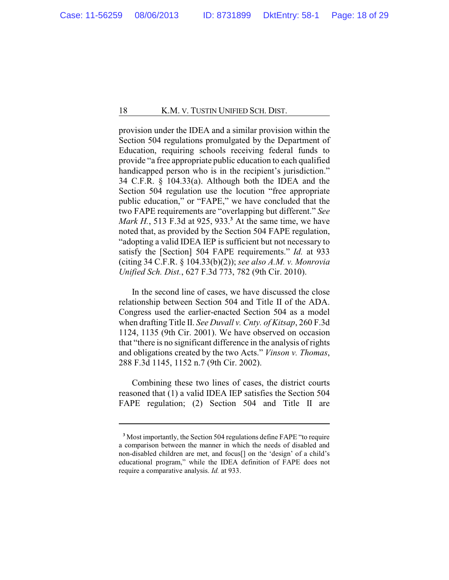provision under the IDEA and a similar provision within the Section 504 regulations promulgated by the Department of Education, requiring schools receiving federal funds to provide "a free appropriate public education to each qualified handicapped person who is in the recipient's jurisdiction." 34 C.F.R. § 104.33(a). Although both the IDEA and the Section 504 regulation use the locution "free appropriate public education," or "FAPE," we have concluded that the two FAPE requirements are "overlapping but different." *See Mark H.*, 513 F.3d at 925, 933.**<sup>3</sup>** At the same time, we have noted that, as provided by the Section 504 FAPE regulation, "adopting a valid IDEA IEP is sufficient but not necessary to satisfy the [Section] 504 FAPE requirements." *Id.* at 933 (citing 34 C.F.R. § 104.33(b)(2)); *see also A.M. v. Monrovia Unified Sch. Dist.*, 627 F.3d 773, 782 (9th Cir. 2010).

In the second line of cases, we have discussed the close relationship between Section 504 and Title II of the ADA. Congress used the earlier-enacted Section 504 as a model when drafting Title II. *See Duvall v. Cnty. of Kitsap*, 260 F.3d 1124, 1135 (9th Cir. 2001). We have observed on occasion that "there is no significant difference in the analysis of rights and obligations created by the two Acts." *Vinson v. Thomas*, 288 F.3d 1145, 1152 n.7 (9th Cir. 2002).

Combining these two lines of cases, the district courts reasoned that (1) a valid IDEA IEP satisfies the Section 504 FAPE regulation; (2) Section 504 and Title II are

**<sup>3</sup>** Most importantly, the Section 504 regulations define FAPE "to require a comparison between the manner in which the needs of disabled and non-disabled children are met, and focus[] on the 'design' of a child's educational program," while the IDEA definition of FAPE does not require a comparative analysis. *Id.* at 933.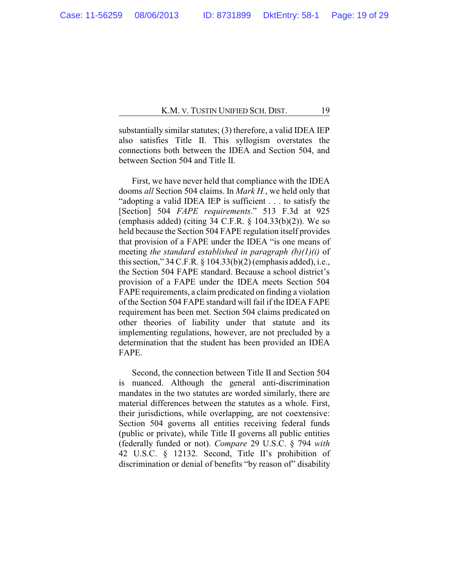substantially similar statutes; (3) therefore, a valid IDEA IEP also satisfies Title II. This syllogism overstates the connections both between the IDEA and Section 504, and between Section 504 and Title II.

First, we have never held that compliance with the IDEA dooms *all* Section 504 claims. In *Mark H.*, we held only that "adopting a valid IDEA IEP is sufficient . . . to satisfy the [Section] 504 *FAPE requirements*." 513 F.3d at 925 (emphasis added) (citing  $34$  C.F.R. §  $104.33(b)(2)$ ). We so held because the Section 504 FAPE regulation itself provides that provision of a FAPE under the IDEA "is one means of meeting *the standard established in paragraph (b)(1)(i)* of this section," 34 C.F.R. § 104.33(b)(2) (emphasis added), i.e., the Section 504 FAPE standard. Because a school district's provision of a FAPE under the IDEA meets Section 504 FAPE requirements, a claim predicated on finding a violation of the Section 504 FAPE standard will fail if the IDEA FAPE requirement has been met. Section 504 claims predicated on other theories of liability under that statute and its implementing regulations, however, are not precluded by a determination that the student has been provided an IDEA FAPE.

Second, the connection between Title II and Section 504 is nuanced. Although the general anti-discrimination mandates in the two statutes are worded similarly, there are material differences between the statutes as a whole. First, their jurisdictions, while overlapping, are not coextensive: Section 504 governs all entities receiving federal funds (public or private), while Title II governs all public entities (federally funded or not). *Compare* 29 U.S.C. § 794 *with* 42 U.S.C. § 12132. Second, Title II's prohibition of discrimination or denial of benefits "by reason of" disability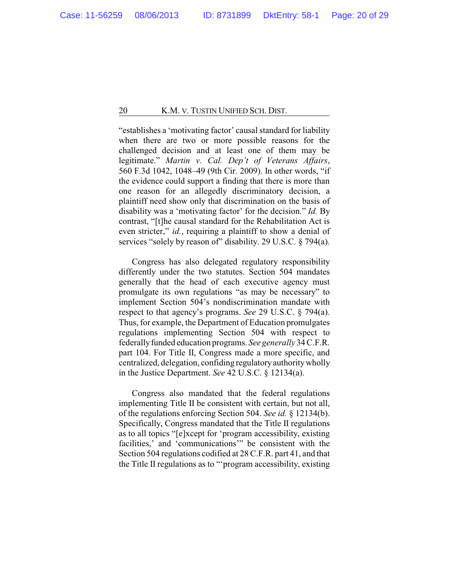"establishes a 'motivating factor' causal standard for liability when there are two or more possible reasons for the challenged decision and at least one of them may be legitimate." *Martin v. Cal. Dep't of Veterans Affairs*, 560 F.3d 1042, 1048–49 (9th Cir. 2009). In other words, "if the evidence could support a finding that there is more than one reason for an allegedly discriminatory decision, a plaintiff need show only that discrimination on the basis of disability was a 'motivating factor' for the decision." *Id.* By contrast, "[t]he causal standard for the Rehabilitation Act is even stricter," *id.*, requiring a plaintiff to show a denial of services "solely by reason of" disability. 29 U.S.C. § 794(a).

Congress has also delegated regulatory responsibility differently under the two statutes. Section 504 mandates generally that the head of each executive agency must promulgate its own regulations "as may be necessary" to implement Section 504's nondiscrimination mandate with respect to that agency's programs. *See* 29 U.S.C. § 794(a). Thus, for example, the Department of Education promulgates regulations implementing Section 504 with respect to federallyfunded education programs. *See generally* 34 C.F.R. part 104. For Title II, Congress made a more specific, and centralized, delegation, confiding regulatoryauthoritywholly in the Justice Department. *See* 42 U.S.C. § 12134(a).

Congress also mandated that the federal regulations implementing Title II be consistent with certain, but not all, of the regulations enforcing Section 504. *See id.* § 12134(b). Specifically, Congress mandated that the Title II regulations as to all topics "[e]xcept for 'program accessibility, existing facilities,' and 'communications'" be consistent with the Section 504 regulations codified at 28 C.F.R. part 41, and that the Title II regulations as to "'program accessibility, existing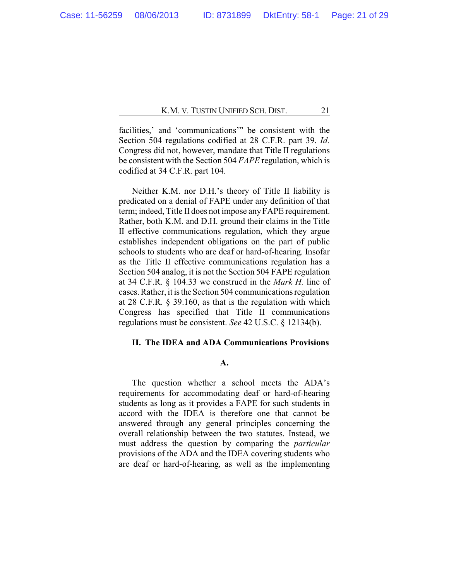facilities,' and 'communications'" be consistent with the Section 504 regulations codified at 28 C.F.R. part 39. *Id.* Congress did not, however, mandate that Title II regulations be consistent with the Section 504 *FAPE* regulation, which is codified at 34 C.F.R. part 104.

Neither K.M. nor D.H.'s theory of Title II liability is predicated on a denial of FAPE under any definition of that term; indeed, Title II does not impose anyFAPE requirement. Rather, both K.M. and D.H. ground their claims in the Title II effective communications regulation, which they argue establishes independent obligations on the part of public schools to students who are deaf or hard-of-hearing. Insofar as the Title II effective communications regulation has a Section 504 analog, it is not the Section 504 FAPE regulation at 34 C.F.R. § 104.33 we construed in the *Mark H.* line of cases. Rather, it is the Section 504 communications regulation at 28 C.F.R. § 39.160, as that is the regulation with which Congress has specified that Title II communications regulations must be consistent. *See* 42 U.S.C. § 12134(b).

## **II. The IDEA and ADA Communications Provisions**

## **A.**

The question whether a school meets the ADA's requirements for accommodating deaf or hard-of-hearing students as long as it provides a FAPE for such students in accord with the IDEA is therefore one that cannot be answered through any general principles concerning the overall relationship between the two statutes. Instead, we must address the question by comparing the *particular* provisions of the ADA and the IDEA covering students who are deaf or hard-of-hearing, as well as the implementing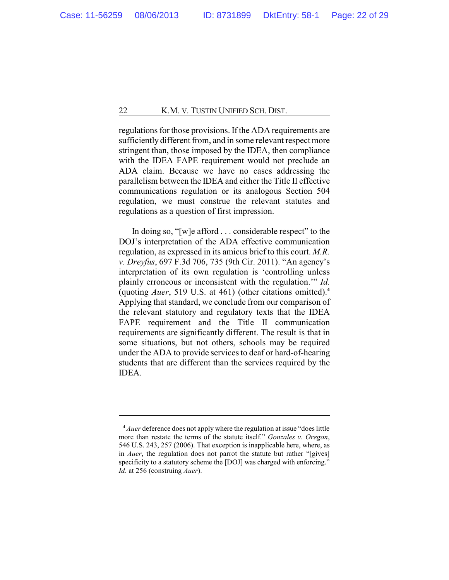regulations for those provisions. If the ADA requirements are sufficiently different from, and in some relevant respect more stringent than, those imposed by the IDEA, then compliance with the IDEA FAPE requirement would not preclude an ADA claim. Because we have no cases addressing the parallelism between the IDEA and either the Title II effective communications regulation or its analogous Section 504 regulation, we must construe the relevant statutes and regulations as a question of first impression.

In doing so, "[w]e afford . . . considerable respect" to the DOJ's interpretation of the ADA effective communication regulation, as expressed in its amicus brief to this court. *M.R. v. Dreyfus*, 697 F.3d 706, 735 (9th Cir. 2011). "An agency's interpretation of its own regulation is 'controlling unless plainly erroneous or inconsistent with the regulation.'" *Id.* (quoting *Auer*, 519 U.S. at 461) (other citations omitted).**<sup>4</sup>** Applying that standard, we conclude from our comparison of the relevant statutory and regulatory texts that the IDEA FAPE requirement and the Title II communication requirements are significantly different. The result is that in some situations, but not others, schools may be required under the ADA to provide services to deaf or hard-of-hearing students that are different than the services required by the IDEA.

**<sup>4</sup>** *Auer* deference does not apply where the regulation at issue "does little more than restate the terms of the statute itself." *Gonzales v. Oregon*, 546 U.S. 243, 257 (2006). That exception is inapplicable here, where, as in *Auer*, the regulation does not parrot the statute but rather "[gives] specificity to a statutory scheme the [DOJ] was charged with enforcing." *Id.* at 256 (construing *Auer*).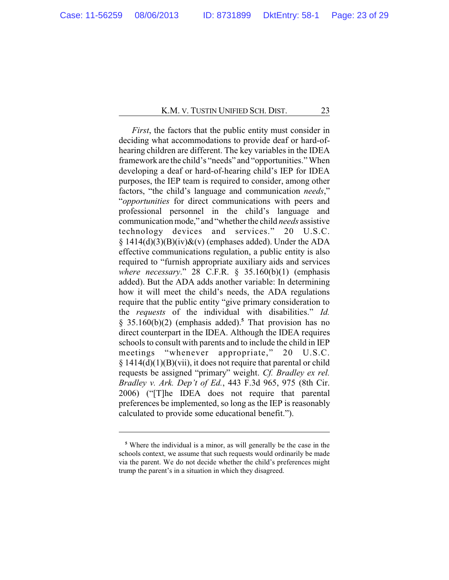*First*, the factors that the public entity must consider in deciding what accommodations to provide deaf or hard-ofhearing children are different. The key variables in the IDEA framework are the child's "needs" and "opportunities." When developing a deaf or hard-of-hearing child's IEP for IDEA purposes, the IEP team is required to consider, among other factors, "the child's language and communication *needs*," "*opportunities* for direct communications with peers and professional personnel in the child's language and communicationmode," and "whether the child *needs* assistive technology devices and services." 20 U.S.C.  $§ 1414(d)(3)(B)(iv)&(v)$  (emphases added). Under the ADA effective communications regulation, a public entity is also required to "furnish appropriate auxiliary aids and services *where necessary*." 28 C.F.R. § 35.160(b)(1) (emphasis added). But the ADA adds another variable: In determining how it will meet the child's needs, the ADA regulations require that the public entity "give primary consideration to the *requests* of the individual with disabilities." *Id.* § 35.160(b)(2) (emphasis added).**<sup>5</sup>** That provision has no direct counterpart in the IDEA. Although the IDEA requires schools to consult with parents and to include the child in IEP meetings "whenever appropriate," 20 U.S.C. § 1414(d)(1)(B)(vii), it does not require that parental or child requests be assigned "primary" weight. *Cf. Bradley ex rel. Bradley v. Ark. Dep't of Ed.*, 443 F.3d 965, 975 (8th Cir. 2006) ("[T]he IDEA does not require that parental preferences be implemented, so long as the IEP is reasonably calculated to provide some educational benefit.").

**<sup>5</sup>** Where the individual is a minor, as will generally be the case in the schools context, we assume that such requests would ordinarily be made via the parent. We do not decide whether the child's preferences might trump the parent's in a situation in which they disagreed.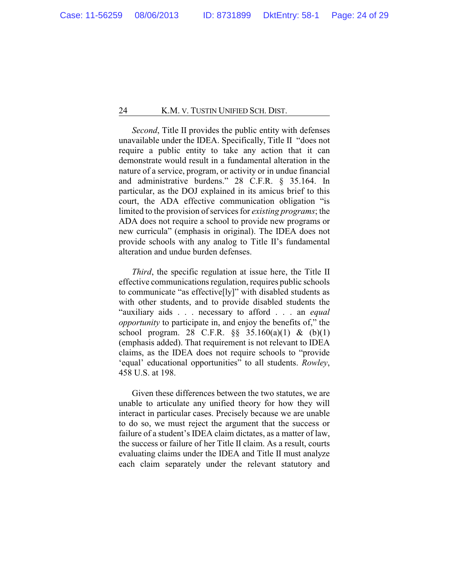*Second*, Title II provides the public entity with defenses unavailable under the IDEA. Specifically, Title II "does not require a public entity to take any action that it can demonstrate would result in a fundamental alteration in the nature of a service, program, or activity or in undue financial and administrative burdens." 28 C.F.R. § 35.164. In particular, as the DOJ explained in its amicus brief to this court, the ADA effective communication obligation "is limited to the provision of services for *existing programs*; the ADA does not require a school to provide new programs or new curricula" (emphasis in original). The IDEA does not provide schools with any analog to Title II's fundamental alteration and undue burden defenses.

*Third*, the specific regulation at issue here, the Title II effective communications regulation, requires public schools to communicate "as effective[ly]" with disabled students as with other students, and to provide disabled students the "auxiliary aids . . . necessary to afford . . . an *equal opportunity* to participate in, and enjoy the benefits of," the school program. 28 C.F.R. §§ 35.160(a)(1) & (b)(1) (emphasis added). That requirement is not relevant to IDEA claims, as the IDEA does not require schools to "provide 'equal' educational opportunities" to all students. *Rowley*, 458 U.S. at 198.

Given these differences between the two statutes, we are unable to articulate any unified theory for how they will interact in particular cases. Precisely because we are unable to do so, we must reject the argument that the success or failure of a student's IDEA claim dictates, as a matter of law, the success or failure of her Title II claim. As a result, courts evaluating claims under the IDEA and Title II must analyze each claim separately under the relevant statutory and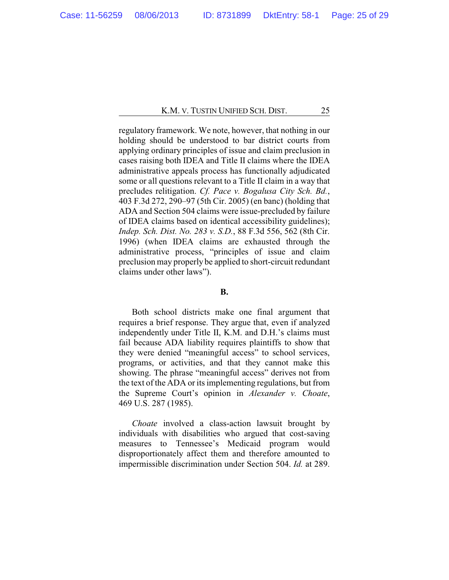regulatory framework. We note, however, that nothing in our holding should be understood to bar district courts from applying ordinary principles of issue and claim preclusion in cases raising both IDEA and Title II claims where the IDEA administrative appeals process has functionally adjudicated some or all questions relevant to a Title II claim in a way that precludes relitigation. *Cf. Pace v. Bogalusa City Sch. Bd.*, 403 F.3d 272, 290–97 (5th Cir. 2005) (en banc) (holding that ADA and Section 504 claims were issue-precluded by failure of IDEA claims based on identical accessibility guidelines); *Indep. Sch. Dist. No. 283 v. S.D.*, 88 F.3d 556, 562 (8th Cir. 1996) (when IDEA claims are exhausted through the administrative process, "principles of issue and claim preclusion may properly be applied to short-circuit redundant claims under other laws").

## **B.**

Both school districts make one final argument that requires a brief response. They argue that, even if analyzed independently under Title II, K.M. and D.H.'s claims must fail because ADA liability requires plaintiffs to show that they were denied "meaningful access" to school services, programs, or activities, and that they cannot make this showing. The phrase "meaningful access" derives not from the text of the ADA or its implementing regulations, but from the Supreme Court's opinion in *Alexander v. Choate*, 469 U.S. 287 (1985).

*Choate* involved a class-action lawsuit brought by individuals with disabilities who argued that cost-saving measures to Tennessee's Medicaid program would disproportionately affect them and therefore amounted to impermissible discrimination under Section 504. *Id.* at 289.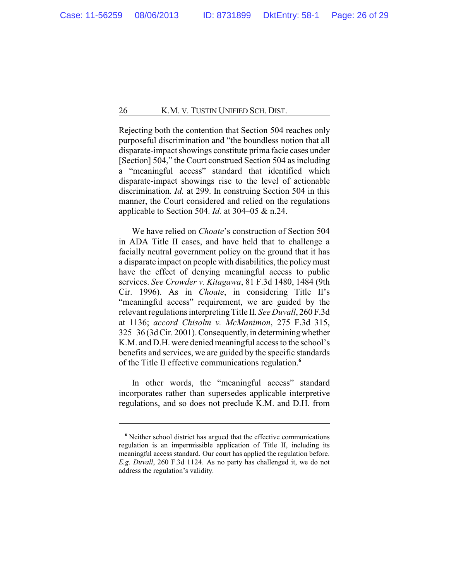Rejecting both the contention that Section 504 reaches only purposeful discrimination and "the boundless notion that all disparate-impact showings constitute prima facie cases under [Section] 504," the Court construed Section 504 as including a "meaningful access" standard that identified which disparate-impact showings rise to the level of actionable discrimination. *Id.* at 299. In construing Section 504 in this manner, the Court considered and relied on the regulations applicable to Section 504. *Id.* at 304–05 & n.24.

We have relied on *Choate*'s construction of Section 504 in ADA Title II cases, and have held that to challenge a facially neutral government policy on the ground that it has a disparate impact on people with disabilities, the policymust have the effect of denying meaningful access to public services. *See Crowder v. Kitagawa*, 81 F.3d 1480, 1484 (9th Cir. 1996). As in *Choate*, in considering Title II's "meaningful access" requirement, we are guided by the relevant regulations interpretingTitle II. *See Duvall*, 260 F.3d at 1136; *accord Chisolm v. McManimon*, 275 F.3d 315, 325–36 (3d Cir. 2001). Consequently, in determiningwhether K.M. and D.H. were denied meaningful access to the school's benefits and services, we are guided by the specific standards of the Title II effective communications regulation.**<sup>6</sup>**

In other words, the "meaningful access" standard incorporates rather than supersedes applicable interpretive regulations, and so does not preclude K.M. and D.H. from

**<sup>6</sup>** Neither school district has argued that the effective communications regulation is an impermissible application of Title II, including its meaningful access standard. Our court has applied the regulation before. *E.g. Duvall*, 260 F.3d 1124. As no party has challenged it, we do not address the regulation's validity.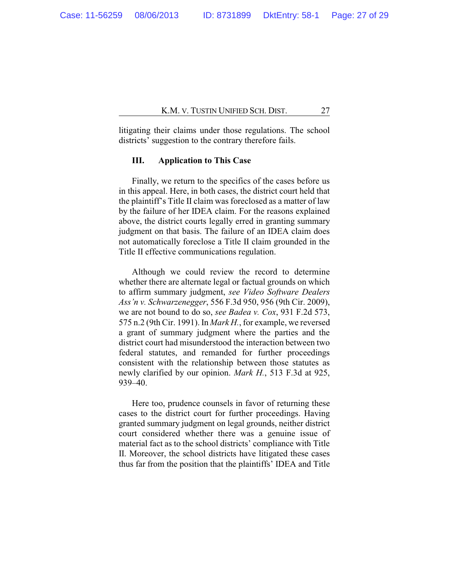litigating their claims under those regulations. The school districts' suggestion to the contrary therefore fails.

## **III. Application to This Case**

Finally, we return to the specifics of the cases before us in this appeal. Here, in both cases, the district court held that the plaintiff's Title II claim was foreclosed as a matter of law by the failure of her IDEA claim. For the reasons explained above, the district courts legally erred in granting summary judgment on that basis. The failure of an IDEA claim does not automatically foreclose a Title II claim grounded in the Title II effective communications regulation.

Although we could review the record to determine whether there are alternate legal or factual grounds on which to affirm summary judgment, *see Video Software Dealers Ass'n v. Schwarzenegger*, 556 F.3d 950, 956 (9th Cir. 2009), we are not bound to do so, *see Badea v. Cox*, 931 F.2d 573, 575 n.2 (9th Cir. 1991). In *Mark H.*, for example, we reversed a grant of summary judgment where the parties and the district court had misunderstood the interaction between two federal statutes, and remanded for further proceedings consistent with the relationship between those statutes as newly clarified by our opinion. *Mark H.*, 513 F.3d at 925, 939–40.

Here too, prudence counsels in favor of returning these cases to the district court for further proceedings. Having granted summary judgment on legal grounds, neither district court considered whether there was a genuine issue of material fact as to the school districts' compliance with Title II. Moreover, the school districts have litigated these cases thus far from the position that the plaintiffs' IDEA and Title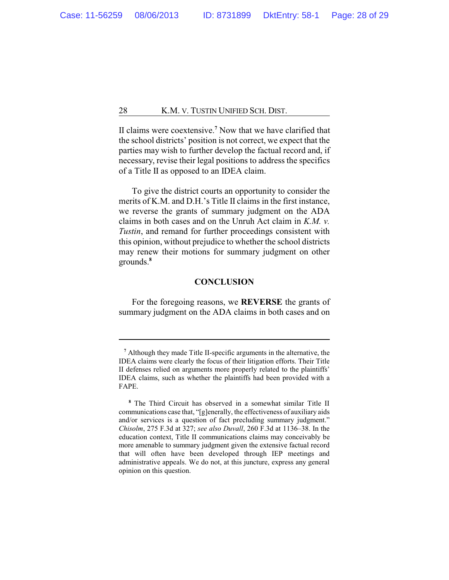II claims were coextensive.**<sup>7</sup>** Now that we have clarified that the school districts' position is not correct, we expect that the parties may wish to further develop the factual record and, if necessary, revise their legal positions to address the specifics of a Title II as opposed to an IDEA claim.

To give the district courts an opportunity to consider the merits of K.M. and D.H.'s Title II claims in the first instance, we reverse the grants of summary judgment on the ADA claims in both cases and on the Unruh Act claim in *K.M. v. Tustin*, and remand for further proceedings consistent with this opinion, without prejudice to whether the school districts may renew their motions for summary judgment on other grounds.**<sup>8</sup>**

## **CONCLUSION**

For the foregoing reasons, we **REVERSE** the grants of summary judgment on the ADA claims in both cases and on

**<sup>7</sup>** Although they made Title II-specific arguments in the alternative, the IDEA claims were clearly the focus of their litigation efforts. Their Title II defenses relied on arguments more properly related to the plaintiffs' IDEA claims, such as whether the plaintiffs had been provided with a FAPE.

**<sup>8</sup>** The Third Circuit has observed in a somewhat similar Title II communications case that, "[g]enerally, the effectiveness of auxiliary aids and/or services is a question of fact precluding summary judgment." *Chisolm*, 275 F.3d at 327; *see also Duvall*, 260 F.3d at 1136–38. In the education context, Title II communications claims may conceivably be more amenable to summary judgment given the extensive factual record that will often have been developed through IEP meetings and administrative appeals. We do not, at this juncture, express any general opinion on this question.